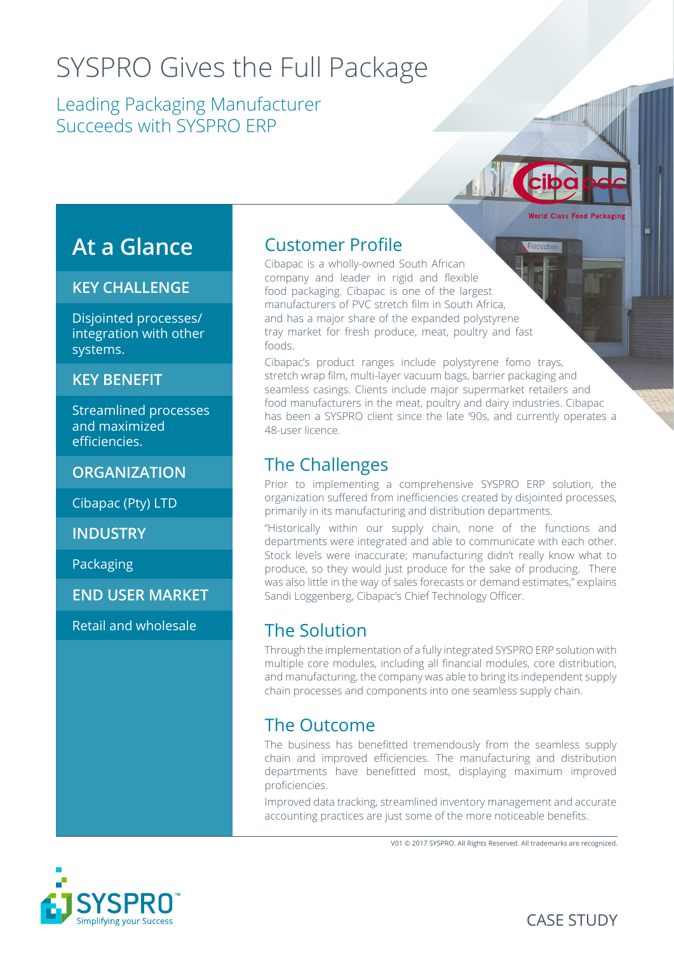# SYSPRO Gives the Full Package

Leading Packaging Manufacturer Succeeds with SYSPRO ERP

# **At a Glance**

#### **KEY CHALLENGE**

Disjointed processes/ integration with other systems.

#### **KEY BENEFIT**

Streamlined processes and maximized efficiencies.

**ORGANIZATION**

Cibapac (Pty) LTD

**INDUSTRY**

Packaging

**END USER MARKET**

Retail and wholesale

#### Customer Profile

Cibapac is a wholly-owned South African company and leader in rigid and flexible food packaging. Cibapac is one of the largest manufacturers of PVC stretch film in South Africa, and has a major share of the expanded polystyrene tray market for fresh produce, meat, poultry and fast foods.

Cibapac's product ranges include polystyrene fomo trays, stretch wrap film, multi-layer vacuum bags, barrier packaging and seamless casings. Clients include major supermarket retailers and food manufacturers in the meat, poultry and dairy industries. Cibapac has been a SYSPRO client since the late '90s, and currently operates a 48-user licence.

#### The Challenges

Prior to implementing a comprehensive SYSPRO ERP solution, the organization suffered from inefficiencies created by disjointed processes, primarily in its manufacturing and distribution departments.

"Historically within our supply chain, none of the functions and departments were integrated and able to communicate with each other. Stock levels were inaccurate; manufacturing didn't really know what to produce, so they would just produce for the sake of producing. There was also little in the way of sales forecasts or demand estimates," explains Sandi Loggenberg, Cibapac's Chief Technology Officer.

#### The Solution

Through the implementation of a fully integrated SYSPRO ERP solution with multiple core modules, including all financial modules, core distribution, and manufacturing, the company was able to bring its independent supply chain processes and components into one seamless supply chain.

#### The Outcome

The business has benefitted tremendously from the seamless supply chain and improved efficiencies. The manufacturing and distribution departments have benefitted most, displaying maximum improved proficiencies.

Improved data tracking, streamlined inventory management and accurate accounting practices are just some of the more noticeable benefits.

V01 © 2017 SYSPRO. All Rights Reserved. All trademarks are recognized.





**Norld Class Food Pack**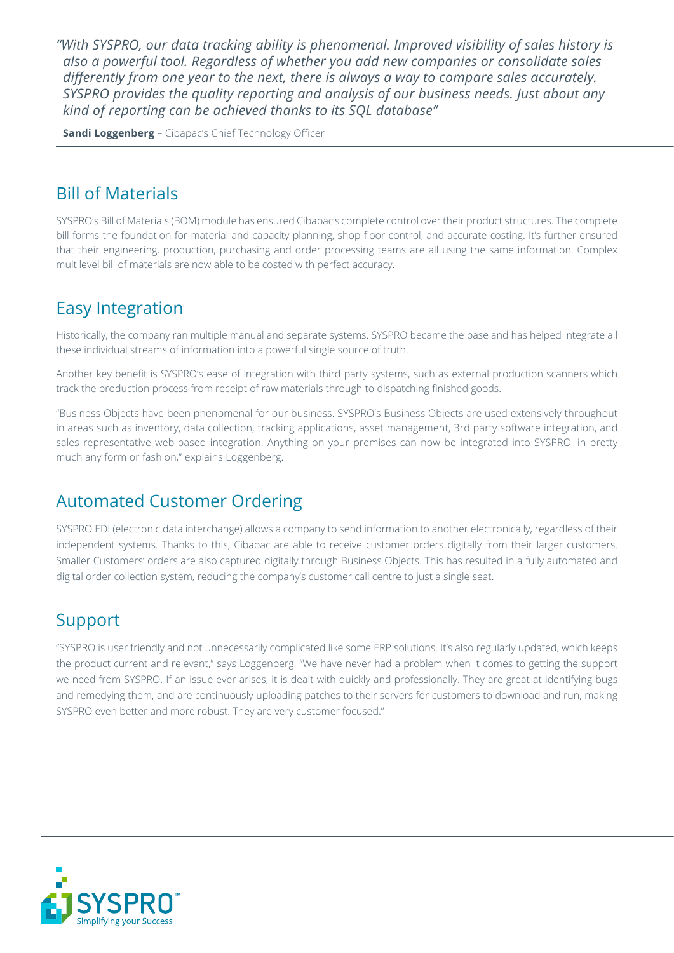*"With SYSPRO, our data tracking ability is phenomenal. Improved visibility of sales history is also a powerful tool. Regardless of whether you add new companies or consolidate sales differently from one year to the next, there is always a way to compare sales accurately. SYSPRO provides the quality reporting and analysis of our business needs. Just about any kind of reporting can be achieved thanks to its SQL database"*

**Sandi Loggenberg** – Cibapac's Chief Technology Officer

#### Bill of Materials

SYSPRO's Bill of Materials (BOM) module has ensured Cibapac's complete control over their product structures. The complete bill forms the foundation for material and capacity planning, shop floor control, and accurate costing. It's further ensured that their engineering, production, purchasing and order processing teams are all using the same information. Complex multilevel bill of materials are now able to be costed with perfect accuracy.

### Easy Integration

Historically, the company ran multiple manual and separate systems. SYSPRO became the base and has helped integrate all these individual streams of information into a powerful single source of truth.

Another key benefit is SYSPRO's ease of integration with third party systems, such as external production scanners which track the production process from receipt of raw materials through to dispatching finished goods.

"Business Objects have been phenomenal for our business. SYSPRO's Business Objects are used extensively throughout in areas such as inventory, data collection, tracking applications, asset management, 3rd party software integration, and sales representative web-based integration. Anything on your premises can now be integrated into SYSPRO, in pretty much any form or fashion," explains Loggenberg.

#### Automated Customer Ordering

SYSPRO EDI (electronic data interchange) allows a company to send information to another electronically, regardless of their independent systems. Thanks to this, Cibapac are able to receive customer orders digitally from their larger customers. Smaller Customers' orders are also captured digitally through Business Objects. This has resulted in a fully automated and digital order collection system, reducing the company's customer call centre to just a single seat.

## Support

"SYSPRO is user friendly and not unnecessarily complicated like some ERP solutions. It's also regularly updated, which keeps the product current and relevant," says Loggenberg. "We have never had a problem when it comes to getting the support we need from SYSPRO. If an issue ever arises, it is dealt with quickly and professionally. They are great at identifying bugs and remedying them, and are continuously uploading patches to their servers for customers to download and run, making SYSPRO even better and more robust. They are very customer focused."

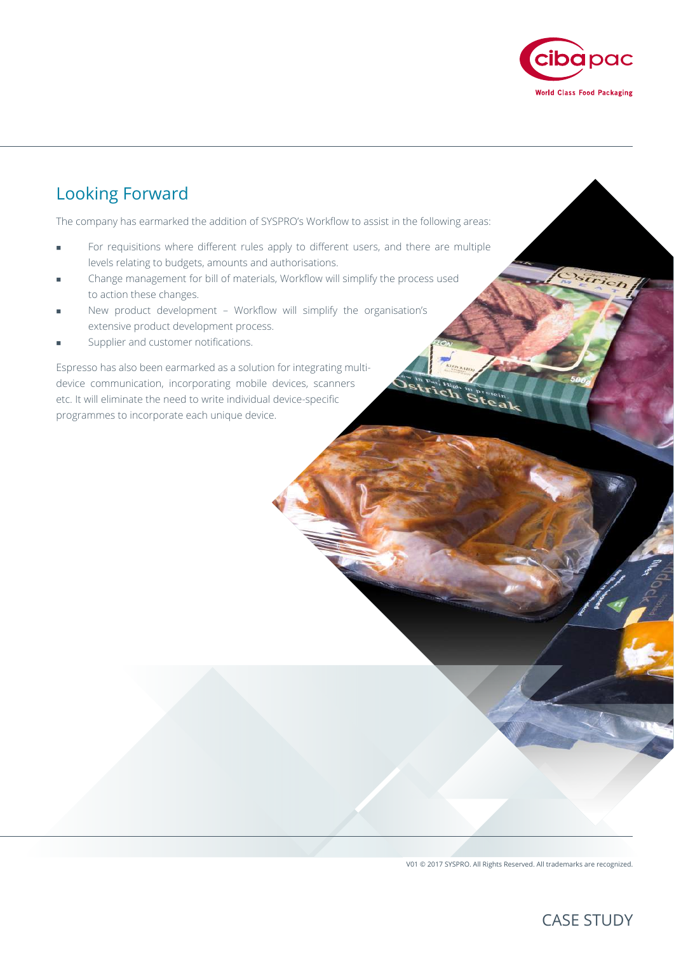

## Looking Forward

The company has earmarked the addition of SYSPRO's Workflow to assist in the following areas:

- For requisitions where different rules apply to different users, and there are multiple levels relating to budgets, amounts and authorisations.
- Change management for bill of materials, Workflow will simplify the process used to action these changes.
- New product development Workflow will simplify the organisation's extensive product development process.
- Supplier and customer notifications.

Espresso has also been earmarked as a solution for integrating multidevice communication, incorporating mobile devices, scanners etc. It will eliminate the need to write individual device-specific programmes to incorporate each unique device.

V01 © 2017 SYSPRO. All Rights Reserved. All trademarks are recognized.